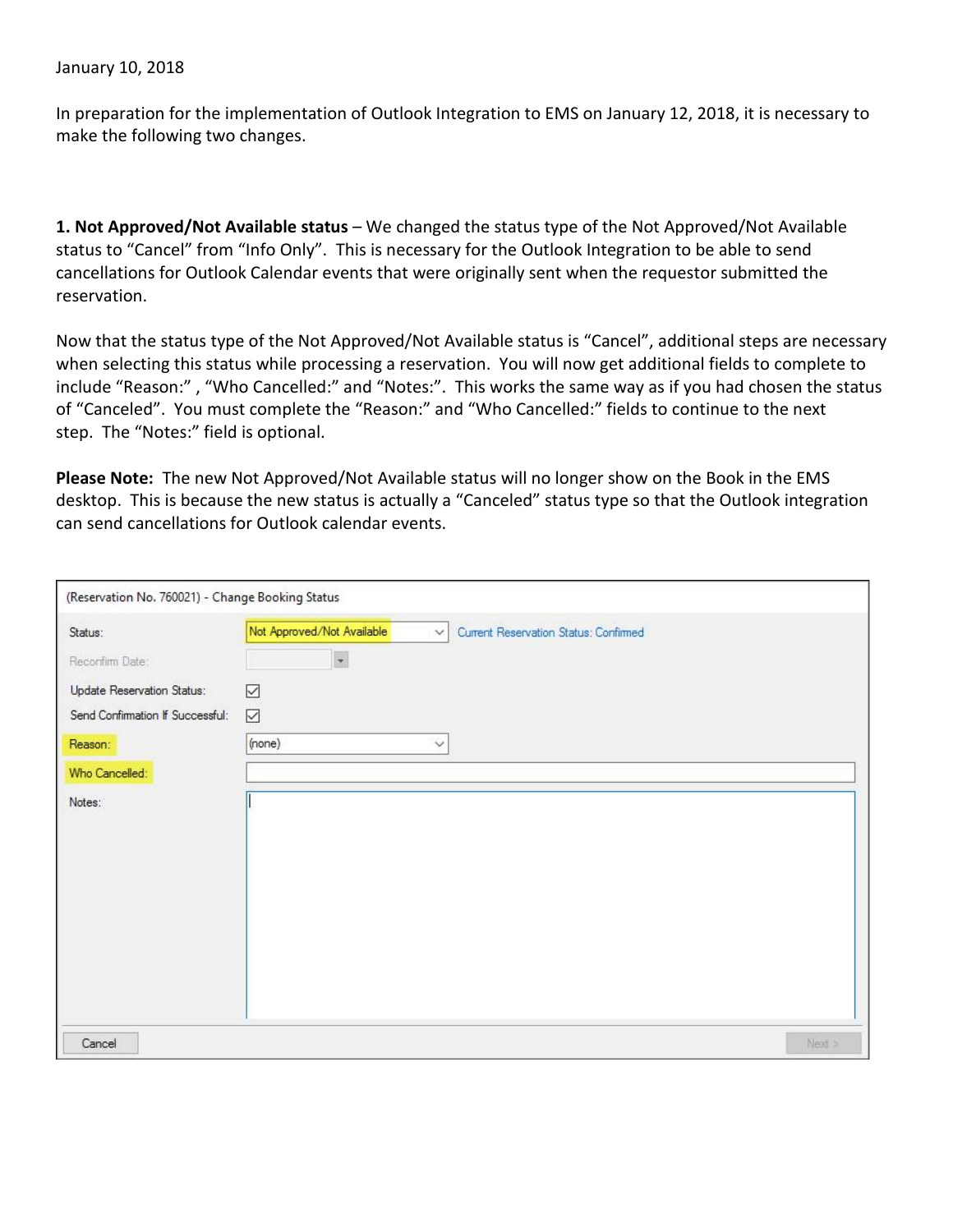## January 10, 2018

In preparation for the implementation of Outlook Integration to EMS on January 12, 2018, it is necessary to make the following two changes.

**1. Not Approved/Not Available status** – We changed the status type of the Not Approved/Not Available status to "Cancel" from "Info Only". This is necessary for the Outlook Integration to be able to send cancellations for Outlook Calendar events that were originally sent when the requestor submitted the reservation.

Now that the status type of the Not Approved/Not Available status is "Cancel", additional steps are necessary when selecting this status while processing a reservation. You will now get additional fields to complete to include "Reason:" , "Who Cancelled:" and "Notes:". This works the same way as if you had chosen the status of "Canceled". You must complete the "Reason:" and "Who Cancelled:" fields to continue to the next step. The "Notes:" field is optional.

**Please Note:** The new Not Approved/Not Available status will no longer show on the Book in the EMS desktop. This is because the new status is actually a "Canceled" status type so that the Outlook integration can send cancellations for Outlook calendar events.

| (Reservation No. 760021) - Change Booking Status |                                                                               |
|--------------------------------------------------|-------------------------------------------------------------------------------|
| Status:                                          | Not Approved/Not Available<br>Current Reservation Status: Confirmed<br>$\vee$ |
| Reconfirm Date:                                  | $\ddot{\phantom{a}}$                                                          |
| Update Reservation Status:                       | ☑                                                                             |
| Send Confirmation If Successful:                 | $\overline{\smile}$                                                           |
| Reason:                                          | (none)<br>$\checkmark$                                                        |
| Who Cancelled:                                   |                                                                               |
| Notes:                                           |                                                                               |
| Cancel                                           | Next >                                                                        |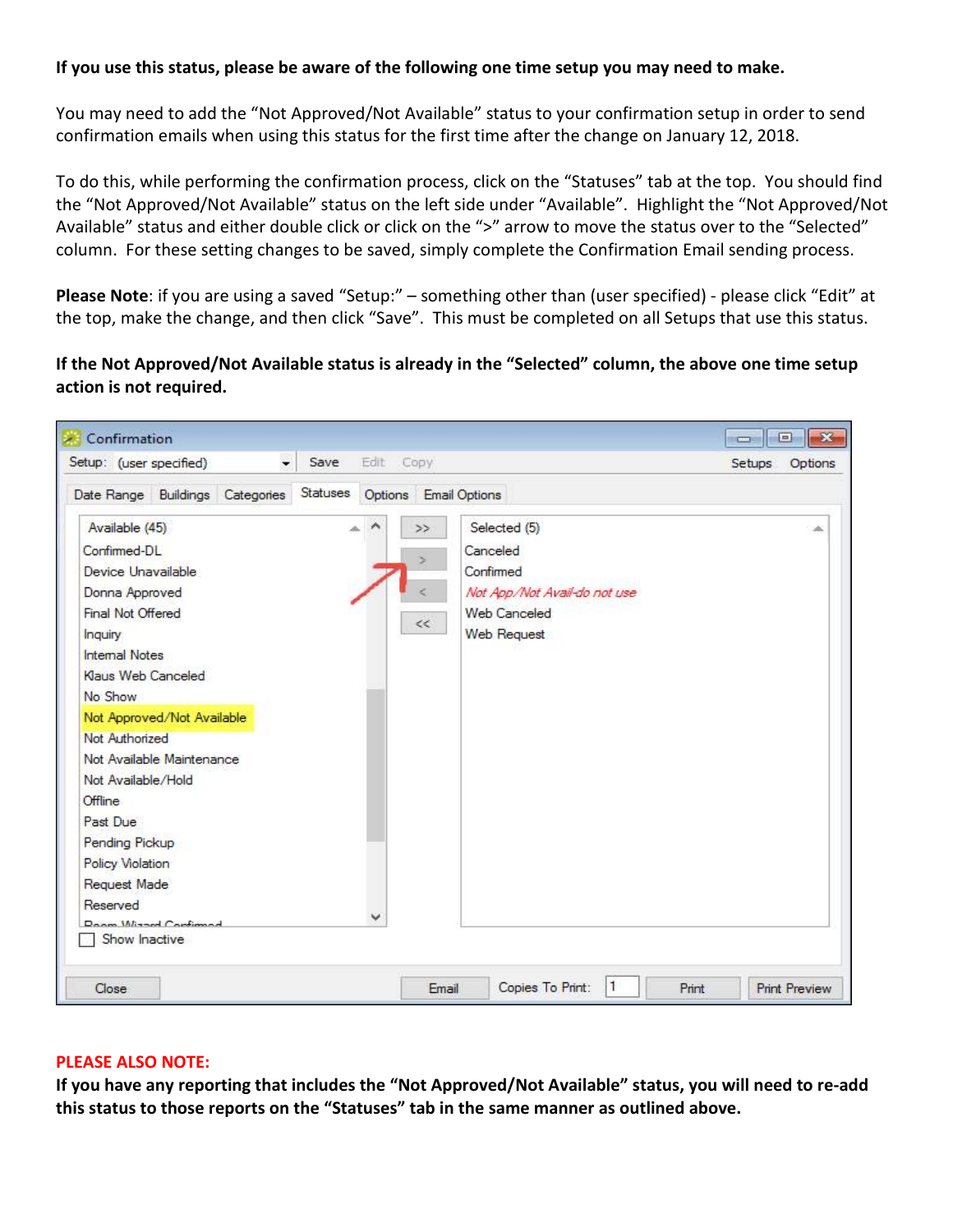## **If you use this status, please be aware of the following one time setup you may need to make.**

You may need to add the "Not Approved/Not Available" status to your confirmation setup in order to send confirmation emails when using this status for the first time after the change on January 12, 2018.

To do this, while performing the confirmation process, click on the "Statuses" tab at the top. You should find the "Not Approved/Not Available" status on the left side under "Available". Highlight the "Not Approved/Not Available" status and either double click or click on the ">" arrow to move the status over to the "Selected" column. For these setting changes to be saved, simply complete the Confirmation Email sending process.

**Please Note**: if you are using a saved "Setup:" – something other than (user specified) - please click "Edit" at the top, make the change, and then click "Save". This must be completed on all Setups that use this status.

**If the Not Approved/Not Available status is already in the "Selected" column, the above one time setup action is not required.**

| $\overline{\phantom{0}}$<br>Setup: (user specified)                                                                                                                                                                                   | Edit<br>Save | Copy                                                                                                                                             | Setups<br>Options |
|---------------------------------------------------------------------------------------------------------------------------------------------------------------------------------------------------------------------------------------|--------------|--------------------------------------------------------------------------------------------------------------------------------------------------|-------------------|
| Date Range Buildings Categories<br>Available (45)<br>Confirmed-DL<br>Device Unavailable<br>Donna Approved<br>Final Not Offered<br><b>Inquiry</b><br><b>Internal Notes</b><br>Klaus Web Canceled<br>No Show                            | Statuses     | Options Email Options<br>Selected (5)<br>>><br>Canceled<br>S<br>Confirmed<br>Not App/Not Avail-do not use<br>Web Canceled<br>$<<$<br>Web Request |                   |
| Not Approved/Not Available<br>Not Authorized<br>Not Available Maintenance<br>Not Available/Hold<br>Offline.<br>Past Due<br>Pending Pickup<br>Policy Violation<br>Request Made<br>Reserved<br>Donna Wissed Configurad<br>Show Inactive |              |                                                                                                                                                  |                   |

## **PLEASE ALSO NOTE:**

**If you have any reporting that includes the "Not Approved/Not Available" status, you will need to re-add this status to those reports on the "Statuses" tab in the same manner as outlined above.**